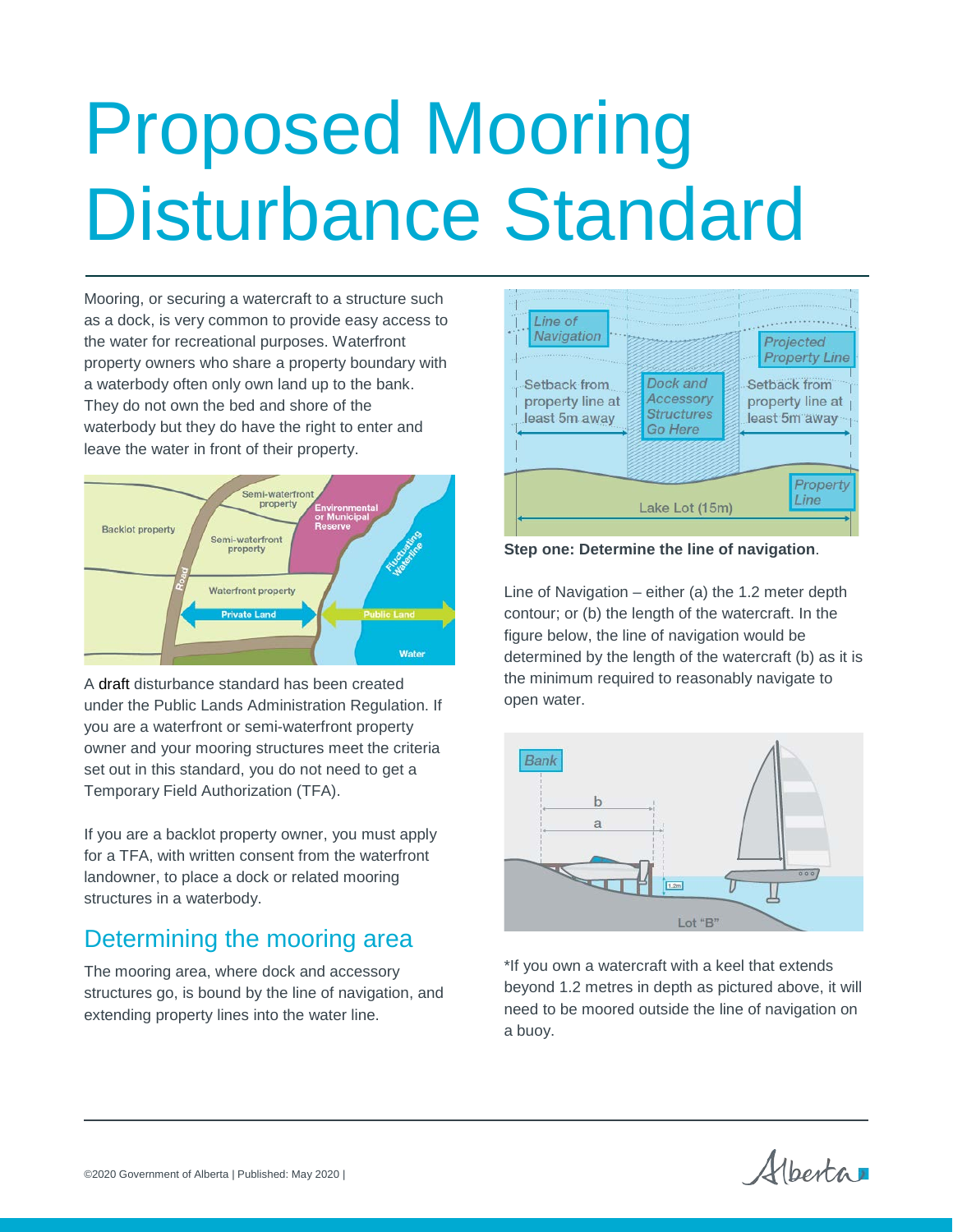# Proposed Mooring Disturbance Standard

Mooring, or securing a watercraft to a structure such as a dock, is very common to provide easy access to the water for recreational purposes. Waterfront property owners who share a property boundary with a waterbody often only own land up to the bank. They do not own the bed and shore of the waterbody but they do have the right to enter and leave the water in front of their property.



A draft disturbance standard has been created under the Public Lands Administration Regulation. If you are a waterfront or semi-waterfront property owner and your mooring structures meet the criteria set out in this standard, you do not need to get a Temporary Field Authorization (TFA).

If you are a backlot property owner, you must apply for a TFA, with written consent from the waterfront landowner, to place a dock or related mooring structures in a waterbody.

## Determining the mooring area

The mooring area, where dock and accessory structures go, is bound by the line of navigation, and extending property lines into the water line.



**Step one: Determine the line of navigation**.

Line of Navigation – either (a) the 1.2 meter depth contour; or (b) the length of the watercraft. In the figure below, the line of navigation would be determined by the length of the watercraft (b) as it is the minimum required to reasonably navigate to open water.



\*If you own a watercraft with a keel that extends beyond 1.2 metres in depth as pictured above, it will need to be moored outside the line of navigation on a buoy.

Albertar